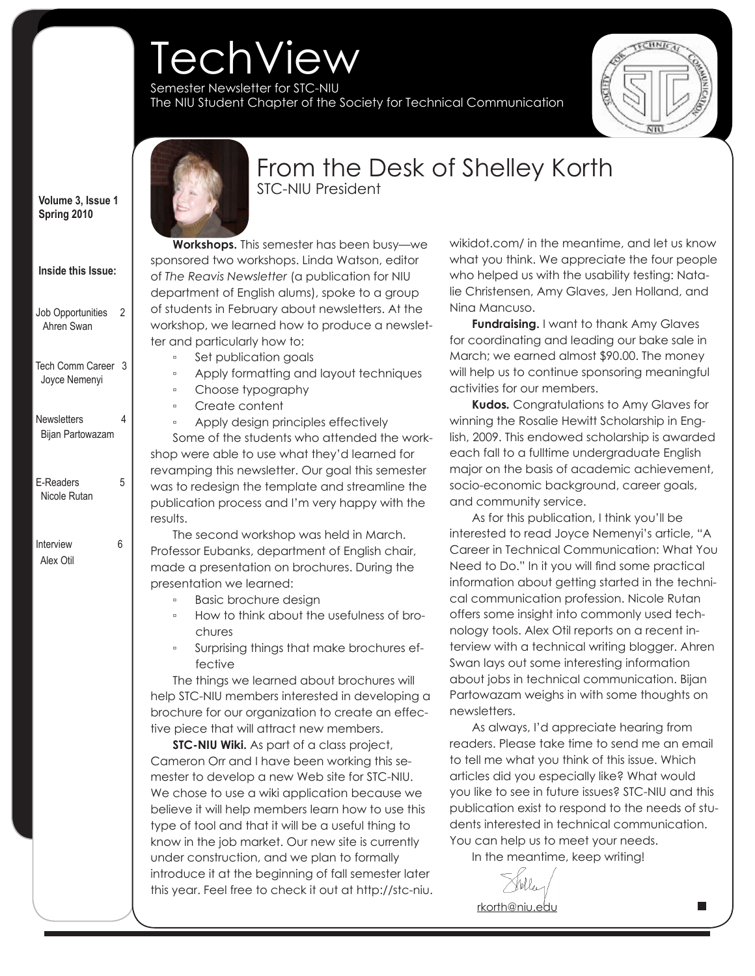# **TechView**

Semester Newsletter for STC-NIU The NIU Student Chapter of the Society for Technical Communication



 **Volume 3, Issue 1 Spring 2010**

| Job Opportunities<br>Ahren Swan | 2 |
|---------------------------------|---|
|                                 |   |

 **Inside this Issue:**

 Tech Comm Career 3 Joyce Nemenyi

 Newsletters 4 Bijan Partowazam

E-Readers 5 Nicole Rutan

 Interview 6 Alex Otil

## **Lorem insurance in the STC-NIU President** adipiscing elit, sed diam nonummy nibh euismod tincidunt ut laoreet dolore magna

## From the Desk of Shelley Korth

aliguam erat volution en minimum erat volution en minimum erat volution en minimum en minimum en minimum en mi **Workshops.** This semester has been busy—we sponsored two workshops. Linda Watson, editor of *The Reavis Newsletter (a publication for* NIU department of English alums), spoke to a group of students in February about newsletters. At the workshop, we learned how to produce a newsletter and particularly how to:

- Set publication goals
- Apply formatting and layout techniques
- Choose typography
- Create content

◦ Apply design principles effectively Some of the students who attended the workshop were able to use what they'd learned for revamping this newsletter. Our goal this semester was to redesign the template and streamline the publication process and I'm very happy with the consequent domination domination domination domination domination domination domination domination domination o results.

The second workshop was held in March. Professor Eubanks, department of English chair, made a presentation on brochures. During the presentation we learned:

- Basic brochure design
- How to think about the usefulness of brochures
- fective name is a set of the state of the state  $\mathbb{R}$ Surprising things that make brochures ef-

The things we learned about brochures will help STC-NIU members interested in developing a brochure for our organization to create an effective piece that will attract new members.

**STC-NIU Wiki.** As part of a class project, Cameron Orr and I have been working this semester to develop a new Web site for STC-NIU. We chose to use a wiki application because we believe it will help members learn how to use this type of tool and that it will be a useful thing to know in the job market. Our new site is currently under construction, and we plan to formally introduce it at the beginning of fall semester later this year. Feel free to check it out at http://stc-niu.

what you think. We appreciate the four people who helped us with the usability testing: Natalie Christensen, Amy Glaves, Jen Holland, and aliquam erat volutpat. Ut wisi enim ad minim Nina Mancuso. wikidot.com/ in the meantime, and let us know

**Fundraising.** I want to thank Amy Glaves for coordinating and leading our bake sale in March; we earned almost \$90.00. The money will help us to continue sponsoring meaningful activities for our members.

**Kudos.** Congratulations to Amy Glaves for winning the Rosalie Hewitt Scholarship in English, 2009. This endowed scholarship is awarded each fall to a fulltime undergraduate English major on the basis of academic achievement, socio-economic background, career goals, and community service.

As for this publication, I think you'll be interested to read Joyce Nemenyi's article, "A Career in Technical Communication: What You Need to Do." In it you will find some practical information about getting started in the technical communication profession. Nicole Rutan offers some insight into commonly used technology tools. Alex Otil reports on a recent interview with a technical writing blogger. Ahren Swan lays out some interesting information about jobs in technical communication. Bijan Partowazam weighs in with some thoughts on newsletters.

As always, I'd appreciate hearing from readers. Please take time to send me an email to tell me what you think of this issue. Which articles did you especially like? What would you like to see in future issues? STC-NIU and this publication exist to respond to the needs of students interested in technical communication. You can help us to meet your needs.

In the meantime, keep writing!

rkorth@niu.edu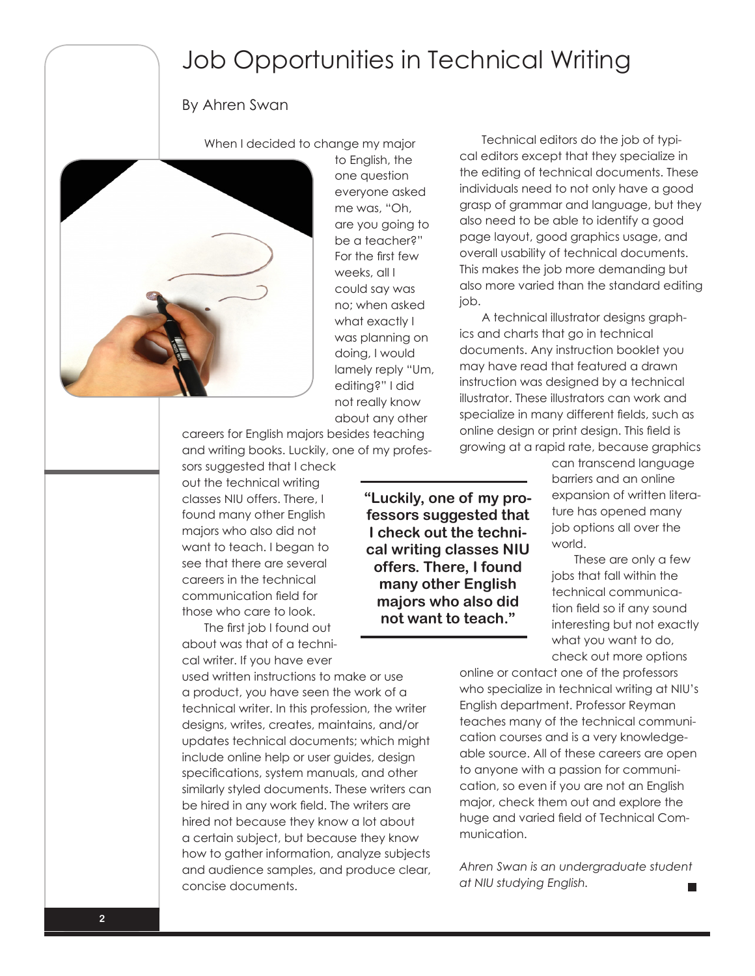## Job Opportunities in Technical Writing

#### By Ahren Swan

When I decided to change my major



to English, the one question everyone asked me was, "Oh, are you going to be a teacher?" For the first few weeks, all I could say was no; when asked what exactly I was planning on doing, I would lamely reply "Um, editing?" I did not really know about any other

careers for English majors besides teaching and writing books. Luckily, one of my profes-

sors suggested that I check out the technical writing classes NIU offers. There, I found many other English majors who also did not want to teach. I began to see that there are several careers in the technical communication field for those who care to look.

The first job I found out about was that of a technical writer. If you have ever

used written instructions to make or use a product, you have seen the work of a technical writer. In this profession, the writer designs, writes, creates, maintains, and/or updates technical documents; which might include online help or user guides, design specifications, system manuals, and other similarly styled documents. These writers can be hired in any work field. The writers are hired not because they know a lot about a certain subject, but because they know how to gather information, analyze subjects and audience samples, and produce clear, concise documents.

**"Luckily, one of my professors suggested that I check out the technical writing classes NIU offers. There, I found many other English majors who also did not want to teach."**

Technical editors do the job of typical editors except that they specialize in the editing of technical documents. These individuals need to not only have a good grasp of grammar and language, but they also need to be able to identify a good page layout, good graphics usage, and overall usability of technical documents. This makes the job more demanding but also more varied than the standard editing job.

A technical illustrator designs graphics and charts that go in technical documents. Any instruction booklet you may have read that featured a drawn instruction was designed by a technical illustrator. These illustrators can work and specialize in many different fields, such as online design or print design. This field is growing at a rapid rate, because graphics

> can transcend language barriers and an online expansion of written literature has opened many job options all over the world.

> These are only a few jobs that fall within the technical communication field so if any sound interesting but not exactly what you want to do, check out more options

online or contact one of the professors who specialize in technical writing at NIU's English department. Professor Reyman teaches many of the technical communication courses and is a very knowledgeable source. All of these careers are open to anyone with a passion for communication, so even if you are not an English major, check them out and explore the huge and varied field of Technical Communication.

*Ahren Swan is an undergraduate student at NIU studying English.*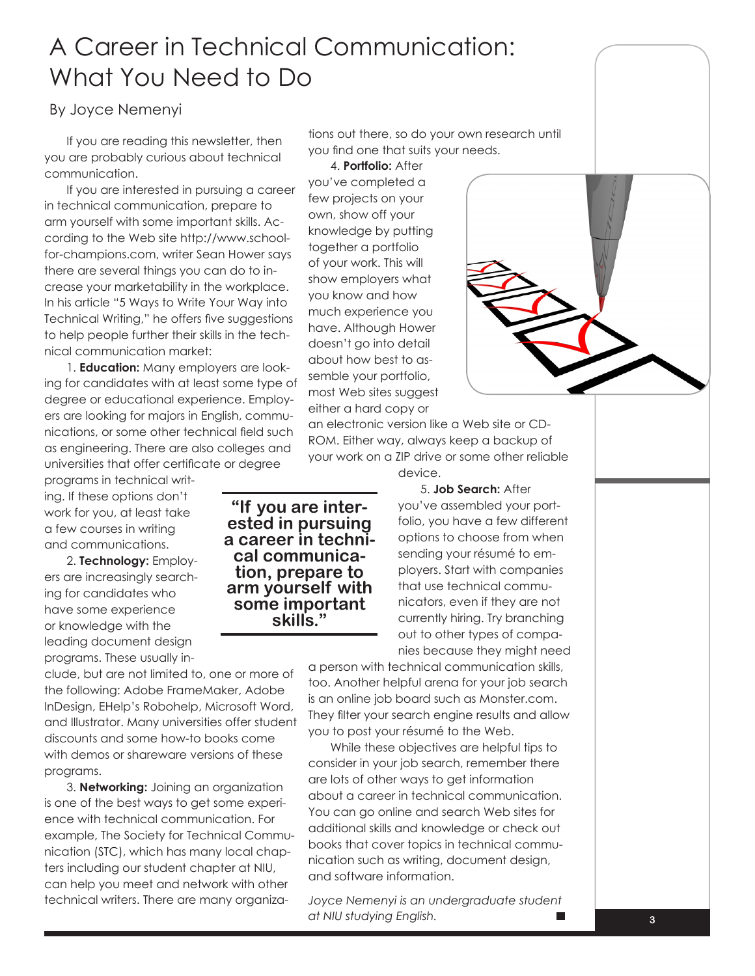## A Career in Technical Communication: What You Need to Do

By Joyce Nemenyi

If you are reading this newsletter, then you are probably curious about technical communication.

If you are interested in pursuing a career in technical communication, prepare to arm yourself with some important skills. According to the Web site http://www.schoolfor-champions.com, writer Sean Hower says there are several things you can do to increase your marketability in the workplace. In his article "5 Ways to Write Your Way into Technical Writing," he offers five suggestions to help people further their skills in the technical communication market:

1. **Education:** Many employers are looking for candidates with at least some type of degree or educational experience. Employers are looking for majors in English, communications, or some other technical field such as engineering. There are also colleges and universities that offer certificate or degree

programs in technical writing. If these options don't work for you, at least take a few courses in writing and communications.

2. **Technology:** Employers are increasingly searching for candidates who have some experience or knowledge with the leading document design programs. These usually in-

clude, but are not limited to, one or more of the following: Adobe FrameMaker, Adobe InDesign, EHelp's Robohelp, Microsoft Word, and Illustrator. Many universities offer student discounts and some how-to books come with demos or shareware versions of these programs.

3. **Networking:** Joining an organization is one of the best ways to get some experience with technical communication. For example, The Society for Technical Communication (STC), which has many local chapters including our student chapter at NIU, can help you meet and network with other technical writers. There are many organizations out there, so do your own research until you find one that suits your needs.

4. **Portfolio:** After

you've completed a few projects on your own, show off your knowledge by putting together a portfolio of your work. This will show employers what you know and how much experience you have. Although Hower doesn't go into detail about how best to assemble your portfolio, most Web sites suggest either a hard copy or

an electronic version like a Web site or CD-ROM. Either way, always keep a backup of your work on a ZIP drive or some other reliable device.

**"If you are inter- ested in pursuing a career in techni- cal communica- tion, prepare to arm yourself with some important skills."**

5. **Job Search:** After

you've assembled your portfolio, you have a few different options to choose from when sending your résumé to employers. Start with companies that use technical communicators, even if they are not currently hiring. Try branching out to other types of companies because they might need

a person with technical communication skills, too. Another helpful arena for your job search is an online job board such as Monster.com. They filter your search engine results and allow you to post your résumé to the Web.

While these objectives are helpful tips to consider in your job search, remember there are lots of other ways to get information about a career in technical communication. You can go online and search Web sites for additional skills and knowledge or check out books that cover topics in technical communication such as writing, document design, and software information.

*Joyce Nemenyi is an undergraduate student at NIU studying English.*

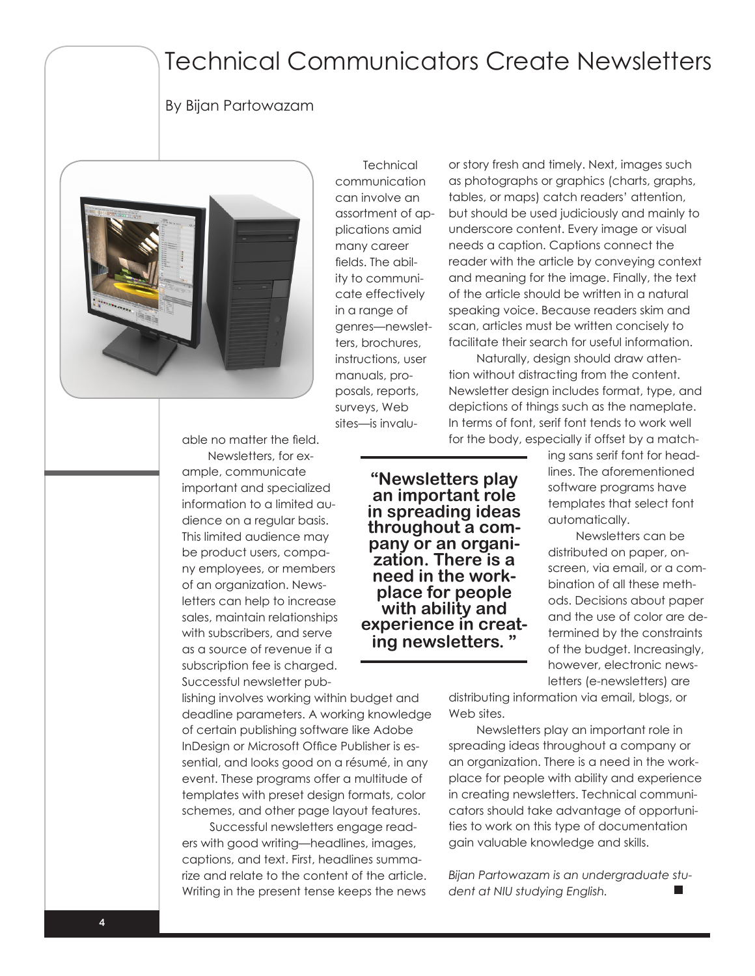### Technical Communicators Create Newsletters

#### By Bijan Partowazam



able no matter the field. Newsletters, for example, communicate important and specialized information to a limited audience on a regular basis. This limited audience may be product users, company employees, or members of an organization. Newsletters can help to increase sales, maintain relationships with subscribers, and serve as a source of revenue if a subscription fee is charged. Successful newsletter pub-

lishing involves working within budget and deadline parameters. A working knowledge of certain publishing software like Adobe InDesign or Microsoft Office Publisher is essential, and looks good on a résumé, in any event. These programs offer a multitude of templates with preset design formats, color schemes, and other page layout features.

Successful newsletters engage readers with good writing—headlines, images, captions, and text. First, headlines summarize and relate to the content of the article. Writing in the present tense keeps the news

**Technical** communication can involve an assortment of applications amid many career fields. The ability to communicate effectively in a range of genres—newsletters, brochures, instructions, user manuals, proposals, reports, surveys, Web sites—is invaluor story fresh and timely. Next, images such as photographs or graphics (charts, graphs, tables, or maps) catch readers' attention, but should be used judiciously and mainly to underscore content. Every image or visual needs a caption. Captions connect the reader with the article by conveying context and meaning for the image. Finally, the text of the article should be written in a natural speaking voice. Because readers skim and scan, articles must be written concisely to facilitate their search for useful information.

Naturally, design should draw attention without distracting from the content. Newsletter design includes format, type, and depictions of things such as the nameplate. In terms of font, serif font tends to work well for the body, especially if offset by a match-

**"Newsletters play an important role in spreading ideas throughout a com- pany or an organi- zation. There is a need in the work- place for people with ability and experience in creat- ing newsletters. "** ing sans serif font for headlines. The aforementioned software programs have templates that select font automatically.

Newsletters can be distributed on paper, onscreen, via email, or a combination of all these methods. Decisions about paper and the use of color are determined by the constraints of the budget. Increasingly, however, electronic newsletters (e-newsletters) are

distributing information via email, blogs, or Web sites.

Newsletters play an important role in spreading ideas throughout a company or an organization. There is a need in the workplace for people with ability and experience in creating newsletters. Technical communicators should take advantage of opportunities to work on this type of documentation gain valuable knowledge and skills.

*Bijan Partowazam is an undergraduate student at NIU studying English.*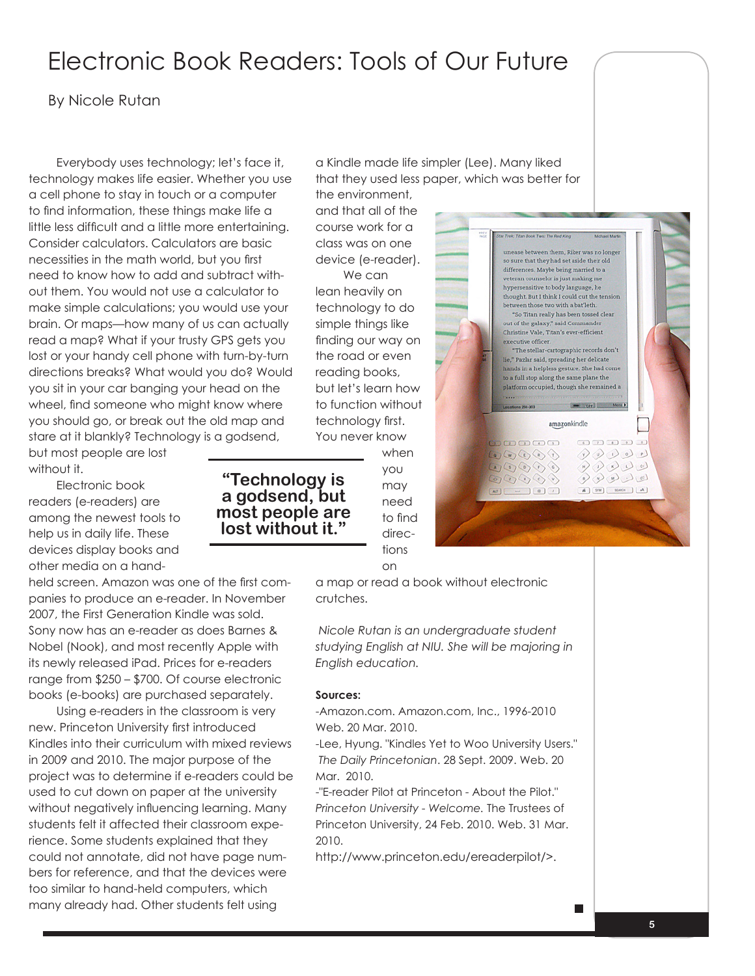## Electronic Book Readers: Tools of Our Future

#### By Nicole Rutan

Everybody uses technology; let's face it, technology makes life easier. Whether you use a cell phone to stay in touch or a computer to find information, these things make life a little less difficult and a little more entertaining. Consider calculators. Calculators are basic necessities in the math world, but you first need to know how to add and subtract without them. You would not use a calculator to make simple calculations; you would use your brain. Or maps—how many of us can actually read a map? What if your trusty GPS gets you lost or your handy cell phone with turn-by-turn directions breaks? What would you do? Would you sit in your car banging your head on the wheel, find someone who might know where you should go, or break out the old map and stare at it blankly? Technology is a godsend,

but most people are lost without it.

Electronic book readers (e-readers) are among the newest tools to help us in daily life. These devices display books and other media on a hand-

held screen. Amazon was one of the first companies to produce an e-reader. In November 2007, the First Generation Kindle was sold. Sony now has an e-reader as does Barnes & Nobel (Nook), and most recently Apple with its newly released iPad. Prices for e-readers range from \$250 – \$700. Of course electronic books (e-books) are purchased separately.

Using e-readers in the classroom is very new. Princeton University first introduced Kindles into their curriculum with mixed reviews in 2009 and 2010. The major purpose of the project was to determine if e-readers could be used to cut down on paper at the university without negatively influencing learning. Many students felt it affected their classroom experience. Some students explained that they could not annotate, did not have page numbers for reference, and that the devices were too similar to hand-held computers, which many already had. Other students felt using

a Kindle made life simpler (Lee). Many liked that they used less paper, which was better for the environment,

and that all of the course work for a class was on one device (e-reader).

We can lean heavily on technology to do simple things like finding our way on the road or even reading books, but let's learn how to function without technology first. You never know

> when you may need to find directions on

a map or read a book without electronic crutches.

 *Nicole Rutan is an undergraduate student studying English at NIU. She will be majoring in English education.*

#### **Sources:**

-Amazon.com. Amazon.com, Inc., 1996-2010 Web. 20 Mar. 2010.

-Lee, Hyung. "Kindles Yet to Woo University Users." *The Daily Princetonian*. 28 Sept. 2009. Web. 20 Mar. 2010.

-"E-reader Pilot at Princeton - About the Pilot." *Princeton University - Welcome.* The Trustees of Princeton University, 24 Feb. 2010. Web. 31 Mar. 2010.

http://www.princeton.edu/ereaderpilot/>.



 $\begin{picture}(16,15) \put(0,0){\line(1,0){10}} \put(10,0){\line(1,0){10}} \put(10,0){\line(1,0){10}} \put(10,0){\line(1,0){10}} \put(10,0){\line(1,0){10}} \put(10,0){\line(1,0){10}} \put(10,0){\line(1,0){10}} \put(10,0){\line(1,0){10}} \put(10,0){\line(1,0){10}} \put(10,0){\line(1,0){10}} \put(10,0){\line(1,0){10}} \put(10,0){\line(1$  $\frac{1}{2}$   $\begin{picture}(180,10) \put(0,0){\line(1,0){10}} \put(10,0){\line(1,0){10}} \put(10,0){\line(1,0){10}} \put(10,0){\line(1,0){10}} \put(10,0){\line(1,0){10}} \put(10,0){\line(1,0){10}} \put(10,0){\line(1,0){10}} \put(10,0){\line(1,0){10}} \put(10,0){\line(1,0){10}} \put(10,0){\line(1,0){10}} \put(10,0){\line(1,0){10}} \put(10,0){\line($ 

A [STM] [ SEARCH ] [ A ]

**"Technology is a godsend, but most people are lost without it."**

 $\blacksquare$